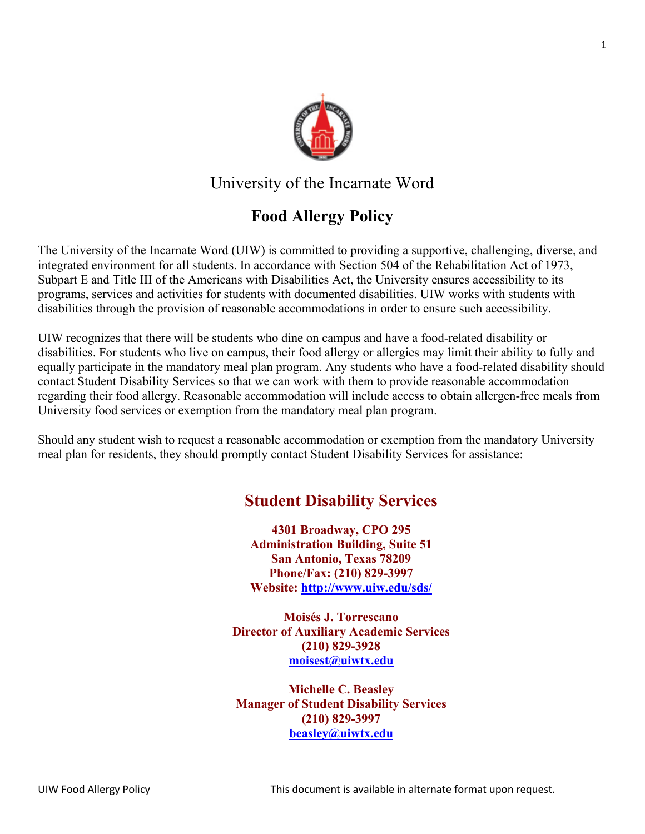

### University of the Incarnate Word

# **Food Allergy Policy**

The University of the Incarnate Word (UIW) is committed to providing a supportive, challenging, diverse, and integrated environment for all students. In accordance with Section 504 of the Rehabilitation Act of 1973, Subpart E and Title III of the Americans with Disabilities Act, the University ensures accessibility to its programs, services and activities for students with documented disabilities. UIW works with students with disabilities through the provision of reasonable accommodations in order to ensure such accessibility.

UIW recognizes that there will be students who dine on campus and have a food-related disability or disabilities. For students who live on campus, their food allergy or allergies may limit their ability to fully and equally participate in the mandatory meal plan program. Any students who have a food-related disability should contact Student Disability Services so that we can work with them to provide reasonable accommodation regarding their food allergy. Reasonable accommodation will include access to obtain allergen-free meals from University food services or exemption from the mandatory meal plan program.

Should any student wish to request a reasonable accommodation or exemption from the mandatory University meal plan for residents, they should promptly contact Student Disability Services for assistance:

## **Student Disability Services**

**4301 Broadway, CPO 295 Administration Building, Suite 51 San Antonio, Texas 78209 Phone/Fax: (210) 829-3997 Website:<http://www.uiw.edu/sds/>**

**Moisés J. Torrescano Director of Auxiliary Academic Services (210) 829-3928 [moisest@uiwtx.edu](mailto:moisest@uiwtx.edu)**

**Michelle C. Beasley Manager of Student Disability Services (210) 829-3997 [beasley@uiwtx.edu](mailto:beasley@uiwtx.edu)**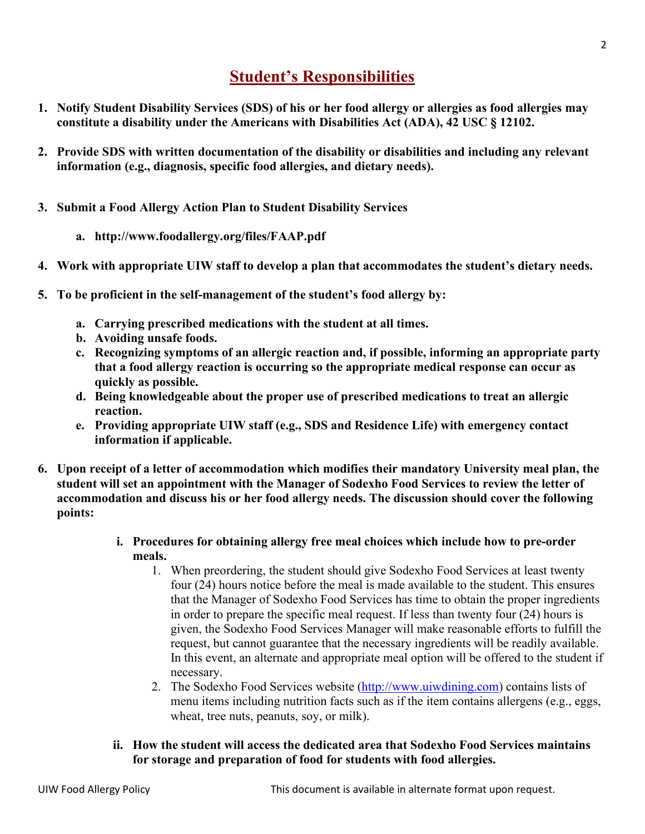### **Student's Responsibilities**

- **1. Notify Student Disability Services (SDS) of his or her food allergy or allergies as food allergies may constitute a disability under the Americans with Disabilities Act (ADA), 42 USC § 12102.**
- **2. Provide SDS with written documentation of the disability or disabilities and including any relevant information (e.g., diagnosis, specific food allergies, and dietary needs).**
- **3. Submit a Food Allergy Action Plan to Student Disability Services**
	- **a. http://www.foodallergy.org/files/FAAP.pdf**
- **4. Work with appropriate UIW staff to develop a plan that accommodates the student's dietary needs.**
- **5. To be proficient in the self-management of the student's food allergy by:** 
	- **a. Carrying prescribed medications with the student at all times.**
	- **b. Avoiding unsafe foods.**
	- **c. Recognizing symptoms of an allergic reaction and, if possible, informing an appropriate party that a food allergy reaction is occurring so the appropriate medical response can occur as quickly as possible.**
	- **d. Being knowledgeable about the proper use of prescribed medications to treat an allergic reaction.**
	- **e. Providing appropriate UIW staff (e.g., SDS and Residence Life) with emergency contact information if applicable.**
- **6. Upon receipt of a letter of accommodation which modifies their mandatory University meal plan, the student will set an appointment with the Manager of Sodexho Food Services to review the letter of accommodation and discuss his or her food allergy needs. The discussion should cover the following points:**
	- **i. Procedures for obtaining allergy free meal choices which include how to pre-order meals.**
		- 1. When preordering, the student should give Sodexho Food Services at least twenty four (24) hours notice before the meal is made available to the student. This ensures that the Manager of Sodexho Food Services has time to obtain the proper ingredients in order to prepare the specific meal request. If less than twenty four (24) hours is given, the Sodexho Food Services Manager will make reasonable efforts to fulfill the request, but cannot guarantee that the necessary ingredients will be readily available. In this event, an alternate and appropriate meal option will be offered to the student if necessary.
		- 2. The Sodexho Food Services website [\(http://www.uiwdining.com\)](http://www.uiwdining.com/) contains lists of menu items including nutrition facts such as if the item contains allergens (e.g., eggs, wheat, tree nuts, peanuts, soy, or milk).
	- **ii. How the student will access the dedicated area that Sodexho Food Services maintains for storage and preparation of food for students with food allergies.**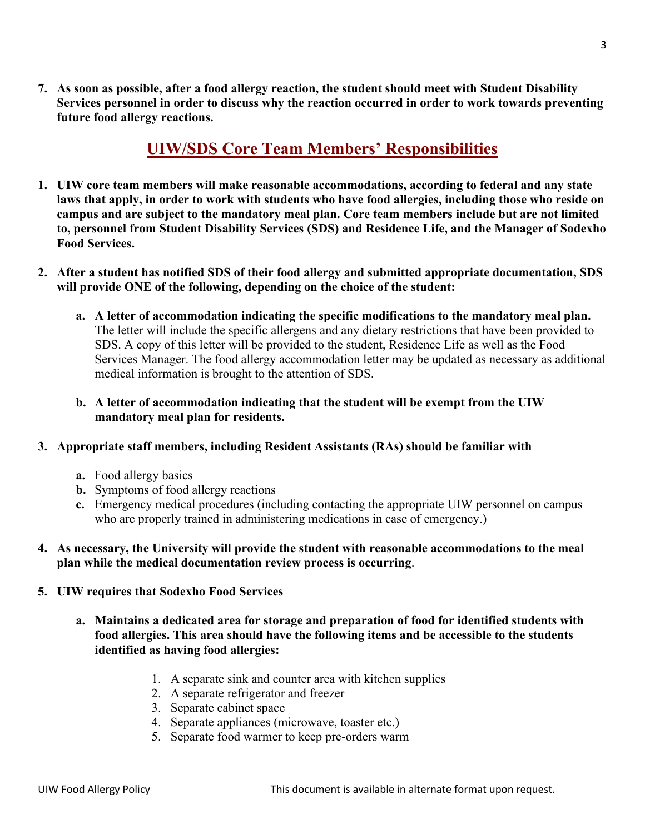**7. As soon as possible, after a food allergy reaction, the student should meet with Student Disability Services personnel in order to discuss why the reaction occurred in order to work towards preventing future food allergy reactions.** 

#### **UIW/SDS Core Team Members' Responsibilities**

- **1. UIW core team members will make reasonable accommodations, according to federal and any state laws that apply, in order to work with students who have food allergies, including those who reside on campus and are subject to the mandatory meal plan. Core team members include but are not limited to, personnel from Student Disability Services (SDS) and Residence Life, and the Manager of Sodexho Food Services.**
- **2. After a student has notified SDS of their food allergy and submitted appropriate documentation, SDS will provide ONE of the following, depending on the choice of the student:** 
	- **a. A letter of accommodation indicating the specific modifications to the mandatory meal plan.**  The letter will include the specific allergens and any dietary restrictions that have been provided to SDS. A copy of this letter will be provided to the student, Residence Life as well as the Food Services Manager. The food allergy accommodation letter may be updated as necessary as additional medical information is brought to the attention of SDS.
	- **b. A letter of accommodation indicating that the student will be exempt from the UIW mandatory meal plan for residents.**

#### **3. Appropriate staff members, including Resident Assistants (RAs) should be familiar with**

- **a.** Food allergy basics
- **b.** Symptoms of food allergy reactions
- **c.** Emergency medical procedures (including contacting the appropriate UIW personnel on campus who are properly trained in administering medications in case of emergency.)

#### **4. As necessary, the University will provide the student with reasonable accommodations to the meal plan while the medical documentation review process is occurring**.

- **5. UIW requires that Sodexho Food Services**
	- **a. Maintains a dedicated area for storage and preparation of food for identified students with food allergies. This area should have the following items and be accessible to the students identified as having food allergies:**
		- 1. A separate sink and counter area with kitchen supplies
		- 2. A separate refrigerator and freezer
		- 3. Separate cabinet space
		- 4. Separate appliances (microwave, toaster etc.)
		- 5. Separate food warmer to keep pre-orders warm